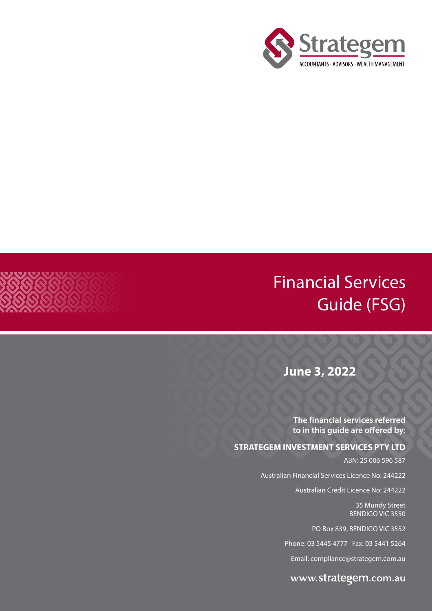

## Financial Services Guide (FSG)

**June 3, 2022**

**The financial services referred to in this guide are offered by:**

#### **STRATEGEM INVESTMENT SERVICES PTY LTD**

ABN: 25 006 596 587

Australian Financial Services Licence No: 244222

Australian Credit Licence No: 244222

35 Mundy Street BENDIGO VIC 3550

PO Box 839, BENDIGO VIC 3552

Phone: 03 5445 4777 Fax: 03 5441 5264

Email: compliance@strategem.com.au

www.strategem.com.au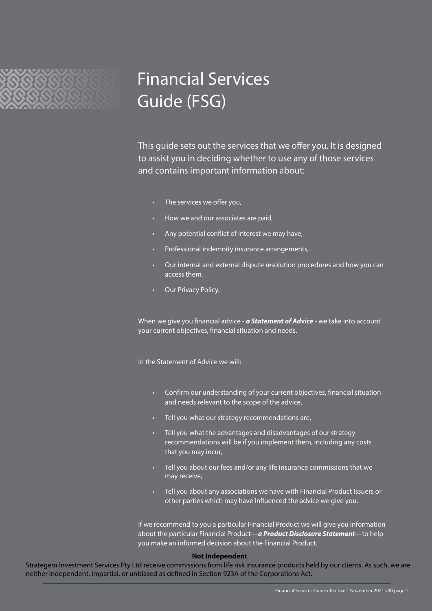

# Financial Services Guide (FSG)

This guide sets out the services that we offer you. It is designed to assist you in deciding whether to use any of those services and contains important information about:

- The services we offer you,
- How we and our associates are paid,
- Any potential conflict of interest we may have,
- Professional indemnity insurance arrangements,
- Our internal and external dispute resolution procedures and how you can access them,
- Our Privacy Policy.

When we give you financial advice - *a Statement of Advice* - we take into account your current objectives, financial situation and needs.

In the Statement of Advice we will:

- Confirm our understanding of your current objectives, financial situation and needs relevant to the scope of the advice,
- Tell you what our strategy recommendations are,
- Tell you what the advantages and disadvantages of our strategy recommendations will be if you implement them, including any costs that you may incur,
- Tell you about our fees and/or any life insurance commissions that we may receive,
- Tell you about any associations we have with Financial Product Issuers or other parties which may have influenced the advice we give you.

If we recommend to you a particular Financial Product we will give you information about the particular Financial Product—*a Product Disclosure Statement*—to help you make an informed decision about the Financial Product.

#### **Not Independent**

Strategem Investment Services Pty Ltd receive commissions from life risk insurance products held by our clients. As such, we are neither independent, impartial, or unbiased as defined in Section 923A of the Corporations Act.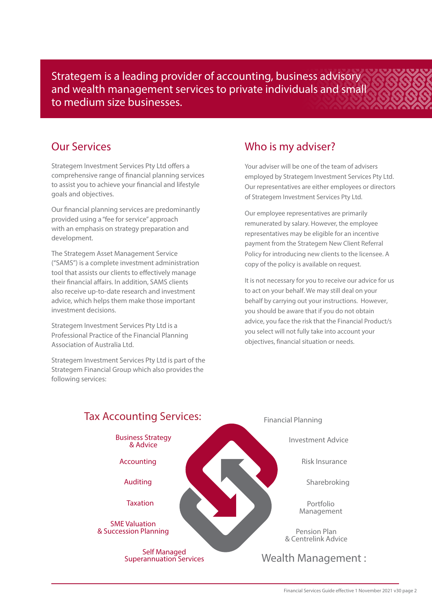Strategem is a leading provider of accounting, business advisory and wealth management services to private individuals and small to medium size businesses.

#### Our Services

Strategem Investment Services Pty Ltd offers a comprehensive range of financial planning services to assist you to achieve your financial and lifestyle goals and objectives.

Our financial planning services are predominantly provided using a "fee for service" approach with an emphasis on strategy preparation and development.

The Strategem Asset Management Service ("SAMS") is a complete investment administration tool that assists our clients to effectively manage their financial affairs. In addition, SAMS clients also receive up-to-date research and investment advice, which helps them make those important investment decisions.

Strategem Investment Services Pty Ltd is a Professional Practice of the Financial Planning Association of Australia Ltd.

Strategem Investment Services Pty Ltd is part of the Strategem Financial Group which also provides the following services:

#### Who is my adviser?

Your adviser will be one of the team of advisers employed by Strategem Investment Services Pty Ltd. Our representatives are either employees or directors of Strategem Investment Services Pty Ltd.

Our employee representatives are primarily remunerated by salary. However, the employee representatives may be eligible for an incentive payment from the Strategem New Client Referral Policy for introducing new clients to the licensee. A copy of the policy is available on request.

It is not necessary for you to receive our advice for us to act on your behalf. We may still deal on your behalf by carrying out your instructions. However, you should be aware that if you do not obtain advice, you face the risk that the Financial Product/s you select will not fully take into account your objectives, financial situation or needs.

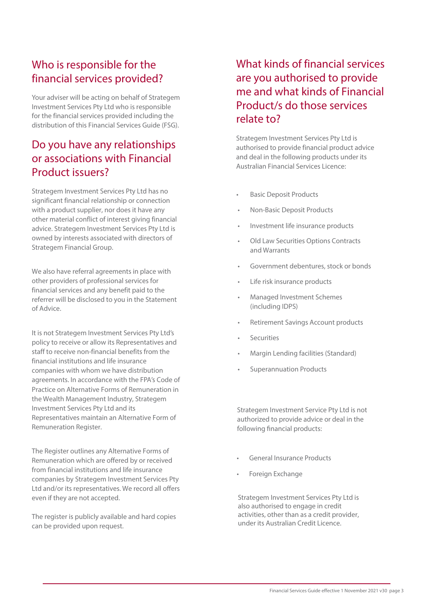### Who is responsible for the financial services provided?

Your adviser will be acting on behalf of Strategem Investment Services Pty Ltd who is responsible for the financial services provided including the distribution of this Financial Services Guide (FSG).

### Do you have any relationships or associations with Financial Product issuers?

Strategem Investment Services Pty Ltd has no significant financial relationship or connection with a product supplier, nor does it have any other material conflict of interest giving financial advice. Strategem Investment Services Pty Ltd is owned by interests associated with directors of Strategem Financial Group.

We also have referral agreements in place with other providers of professional services for financial services and any benefit paid to the referrer will be disclosed to you in the Statement of Advice.

It is not Strategem Investment Services Pty Ltd's policy to receive or allow its Representatives and staff to receive non-financial benefits from the financial institutions and life insurance companies with whom we have distribution agreements. In accordance with the FPA's Code of Practice on Alternative Forms of Remuneration in the Wealth Management Industry, Strategem Investment Services Pty Ltd and its Representatives maintain an Alternative Form of Remuneration Register.

The Register outlines any Alternative Forms of Remuneration which are offered by or received from financial institutions and life insurance companies by Strategem Investment Services Pty Ltd and/or its representatives. We record all offers even if they are not accepted.

The register is publicly available and hard copies can be provided upon request.

### What kinds of financial services are you authorised to provide me and what kinds of Financial Product/s do those services relate to?

Strategem Investment Services Pty Ltd is authorised to provide financial product advice and deal in the following products under its Australian Financial Services Licence:

- **Basic Deposit Products**
- Non-Basic Deposit Products
- Investment life insurance products
- Old Law Securities Options Contracts and Warrants
- Government debentures, stock or bonds
- Life risk insurance products
- Managed Investment Schemes (including IDPS)
- Retirement Savings Account products
- **Securities**
- Margin Lending facilities (Standard)
- Superannuation Products

Strategem Investment Service Pty Ltd is not authorized to provide advice or deal in the following financial products:

- General Insurance Products
- Foreign Exchange

Strategem Investment Services Pty Ltd is also authorised to engage in credit activities, other than as a credit provider, under its Australian Credit Licence.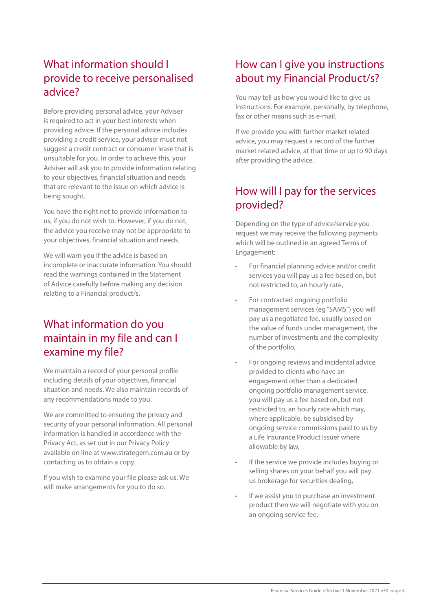#### What information should I provide to receive personalised advice?

Before providing personal advice, your Adviser is required to act in your best interests when providing advice. If the personal advice includes providing a credit service, your adviser must not suggest a credit contract or consumer lease that is unsuitable for you. In order to achieve this, your Adviser will ask you to provide information relating to your objectives, financial situation and needs that are relevant to the issue on which advice is being sought.

You have the right not to provide information to us, if you do not wish to. However, if you do not, the advice you receive may not be appropriate to your objectives, financial situation and needs.

We will warn you if the advice is based on incomplete or inaccurate information. You should read the warnings contained in the Statement of Advice carefully before making any decision relating to a Financial product/s.

#### What information do you maintain in my file and can I examine my file?

We maintain a record of your personal profile including details of your objectives, financial situation and needs. We also maintain records of any recommendations made to you.

We are committed to ensuring the privacy and security of your personal information. All personal information is handled in accordance with the Privacy Act, as set out in our Privacy Policy available on line at www.strategem.com.au or by contacting us to obtain a copy.

If you wish to examine your file please ask us. We will make arrangements for you to do so.

#### How can I give you instructions about my Financial Product/s?

You may tell us how you would like to give us instructions. For example, personally, by telephone, fax or other means such as e-mail.

If we provide you with further market related advice, you may request a record of the further market related advice, at that time or up to 90 days after providing the advice.

### How will I pay for the services provided?

Depending on the type of advice/service you request we may receive the following payments which will be outlined in an agreed Terms of Engagement:

- For financial planning advice and/or credit services you will pay us a fee based on, but not restricted to, an hourly rate,
- For contracted ongoing portfolio management services (eg "SAMS") you will pay us a negotiated fee, usually based on the value of funds under management, the number of investments and the complexity of the portfolio,
- For ongoing reviews and incidental advice provided to clients who have an engagement other than a dedicated ongoing portfolio management service, you will pay us a fee based on, but not restricted to, an hourly rate which may, where applicable, be subsidised by ongoing service commissions paid to us by a Life Insurance Product Issuer where allowable by law,
- If the service we provide includes buying or selling shares on your behalf you will pay us brokerage for securities dealing,
- If we assist you to purchase an investment product then we will negotiate with you on an ongoing service fee.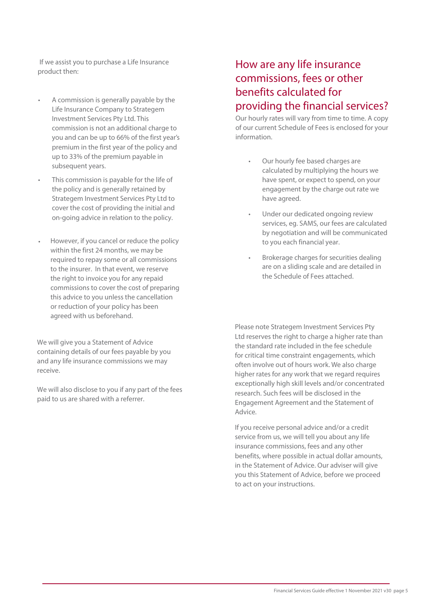**I**If we assist you to purchase a Life Insurance product then:

- A commission is generally payable by the Life Insurance Company to Strategem Investment Services Pty Ltd. This commission is not an additional charge to you and can be up to 66% of the first year's premium in the first year of the policy and up to 33% of the premium payable in subsequent years.
- This commission is payable for the life of the policy and is generally retained by Strategem Investment Services Pty Ltd to cover the cost of providing the initial and on-going advice in relation to the policy.
- However, if you cancel or reduce the policy within the first 24 months, we may be required to repay some or all commissions to the insurer. In that event, we reserve the right to invoice you for any repaid commissions to cover the cost of preparing this advice to you unless the cancellation or reduction of your policy has been agreed with us beforehand. •

We will give you a Statement of Advice containing details of our fees payable by you and any life insurance commissions we may receive.

We will also disclose to you if any part of the fees paid to us are shared with a referrer.

#### How are any life insurance commissions, fees or other benefits calculated for providing the financial services?

Our hourly rates will vary from time to time. A copy of our current Schedule of Fees is enclosed for your information.

- Our hourly fee based charges are calculated by multiplying the hours we have spent, or expect to spend, on your engagement by the charge out rate we have agreed.
- Under our dedicated ongoing review services, eg. SAMS, our fees are calculated by negotiation and will be communicated to you each financial year.
- Brokerage charges for securities dealing are on a sliding scale and are detailed in the Schedule of Fees attached.

Please note Strategem Investment Services Pty Ltd reserves the right to charge a higher rate than the standard rate included in the fee schedule for critical time constraint engagements, which often involve out of hours work. We also charge higher rates for any work that we regard requires exceptionally high skill levels and/or concentrated research. Such fees will be disclosed in the Engagement Agreement and the Statement of Advice.

If you receive personal advice and/or a credit service from us, we will tell you about any life insurance commissions, fees and any other benefits, where possible in actual dollar amounts, in the Statement of Advice. Our adviser will give you this Statement of Advice, before we proceed to act on your instructions.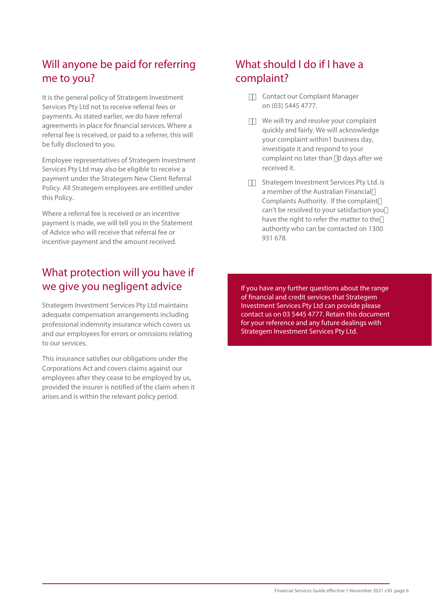### Will anyone be paid for referring me to you?

It is the general policy of Strategem Investment Services Pty Ltd not to receive referral fees or payments. As stated earlier, we do have referral agreements in place for financial services. Where a referral fee is received, or paid to a referrer, this will be fully disclosed to you.

Employee representatives of Strategem Investment Services Pty Ltd may also be eligible to receive a payment under the Strategem New Client Referral Policy. All Strategem employees are entitled under this Policy.

Where a referral fee is received or an incentive payment is made, we will tell you in the Statement of Advice who will receive that referral fee or incentive payment and the amount received.

### What protection will you have if we give you negligent advice

Strategem Investment Services Pty Ltd maintains adequate compensation arrangements including professional indemnity insurance which covers us and our employees for errors or omissions relating to our services.

This insurance satisfies our obligations under the Corporations Act and covers claims against our employees after they cease to be employed by us, provided the insurer is notified of the claim when it arises and is within the relevant policy period.

### What should I do if I have a complaint?

- #ž Contact our Complaint Manager on (03) 5445 4777.
- \$ž We will try and resolve your complaint quickly and fairly. We will acknowledge your complaint within1 business day, investigate it and respond to your complaint no later than % days after we received it.
- % Strategem Investment Services Pty Ltd. is a member of the Australian Financial Complaints Authority. If the complaint can't be resolved to your satisfaction you have the right to refer the matter to the authority who can be contacted on 1300 931 678.

If you have any further questions about the range of financial and credit services that Strategem Investment Services Pty Ltd can provide please contact us on 03 5445 4777. Retain this document for your reference and any future dealings with Strategem Investment Services Pty Ltd.